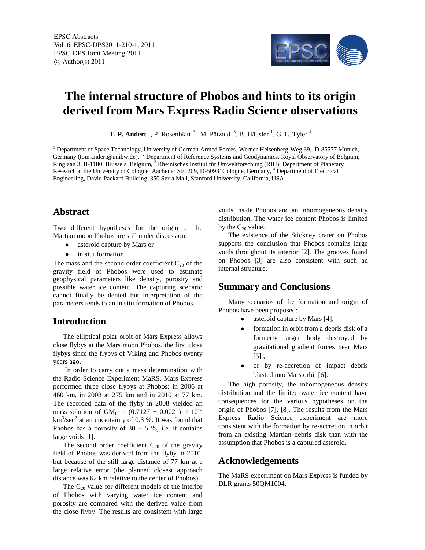EPSC Abstracts Vol. 6, EPSC-DPS2011-210-1, 2011 EPSC-DPS Joint Meeting 2011  $\circ$  Author(s) 2011



# **The internal structure of Phobos and hints to its origin derived from Mars Express Radio Science observations**

**T. P. Andert**<sup>1</sup>, P. Rosenblatt<sup>2</sup>, M. Pätzold<sup>3</sup>, B. Häusler<sup>1</sup>, G. L. Tyler<sup>4</sup>

<sup>1</sup> Department of Space Technology, University of German Armed Forces, Werner-Heisenberg-Weg 39, D-85577 Munich, Germany (tom.andert@unibw.de), <sup>2</sup> Department of Reference Systems and Geodynamics, Royal Observatory of Belgium, Ringlaan 3, B-1180 Brussels, Belgium, <sup>3</sup> Rheinisches Institut für Umweltforschung (RIU), Department of Planetary Research at the University of Cologne, Aachener Str. 209, D-50931Cologne, Germany, <sup>4</sup> Department of Electrical Engineering, David Packard Building, 350 Serra Mall, Stanford University, California, USA.

## **Abstract**

Two different hypotheses for the origin of the Martian moon Phobos are still under discussion:

- asteroid capture by Mars or
- in situ formation.  $\bullet$

The mass and the second order coefficient  $C_{20}$  of the gravity field of Phobos were used to estimate geophysical parameters like density, porosity and possible water ice content. The capturing scenario cannot finally be denied but interpretation of the parameters tends to an in situ formation of Phobos.

## **Introduction**

The elliptical polar orbit of Mars Express allows close flybys at the Mars moon Phobos, the first close flybys since the flybys of Viking and Phobos twenty years ago.

In order to carry out a mass determination with the Radio Science Experiment MaRS, Mars Express performed three close flybys at Phobos: in 2006 at 460 km, in 2008 at 275 km and in 2010 at 77 km. The recorded data of the flyby in 2008 yielded an mass solution of GM<sub>Ph</sub> =  $(0.7127 \pm 0.0021) \times 10^{-3}$  $km<sup>3</sup>/sec<sup>2</sup>$  at an uncertainty of 0.3 %. It was found that Phobos has a porosity of  $30 \pm 5$  %, i.e. it contains large voids [1].

The second order coefficient  $C_{20}$  of the gravity field of Phobos was derived from the flyby in 2010, but because of the still large distance of 77 km at a large relative error (the planned closest approach distance was 62 km relative to the center of Phobos).

The  $C_{20}$  value for different models of the interior of Phobos with varying water ice content and porosity are compared with the derived value from the close flyby. The results are consistent with large

voids inside Phobos and an inhomogeneous density distribution. The water ice content Phobos is limited by the  $C_{20}$  value.

The existence of the Stickney crater on Phobos supports the conclusion that Phobos contains large voids throughout its interior [2]. The grooves found on Phobos [3] are also consistent with such an internal structure.

# **Summary and Conclusions**

Many scenarios of the formation and origin of Phobos have been proposed:

- asteroid capture by Mars [4],
- formation in orbit from a debris disk of a formerly larger body destroyed by gravitational gradient forces near Mars  $[5]$ ,
- $\bullet$ or by re-accretion of impact debris blasted into Mars orbit [6].

The high porosity, the inhomogeneous density distribution and the limited water ice content have consequences for the various hypotheses on the origin of Phobos [7], [8]. The results from the Mars Express Radio Science experiment are more consistent with the formation by re-accretion in orbit from an existing Martian debris disk than with the assumption that Phobos is a captured asteroid.

## **Acknowledgements**

The MaRS experiment on Mars Express is funded by DLR grants 50QM1004.